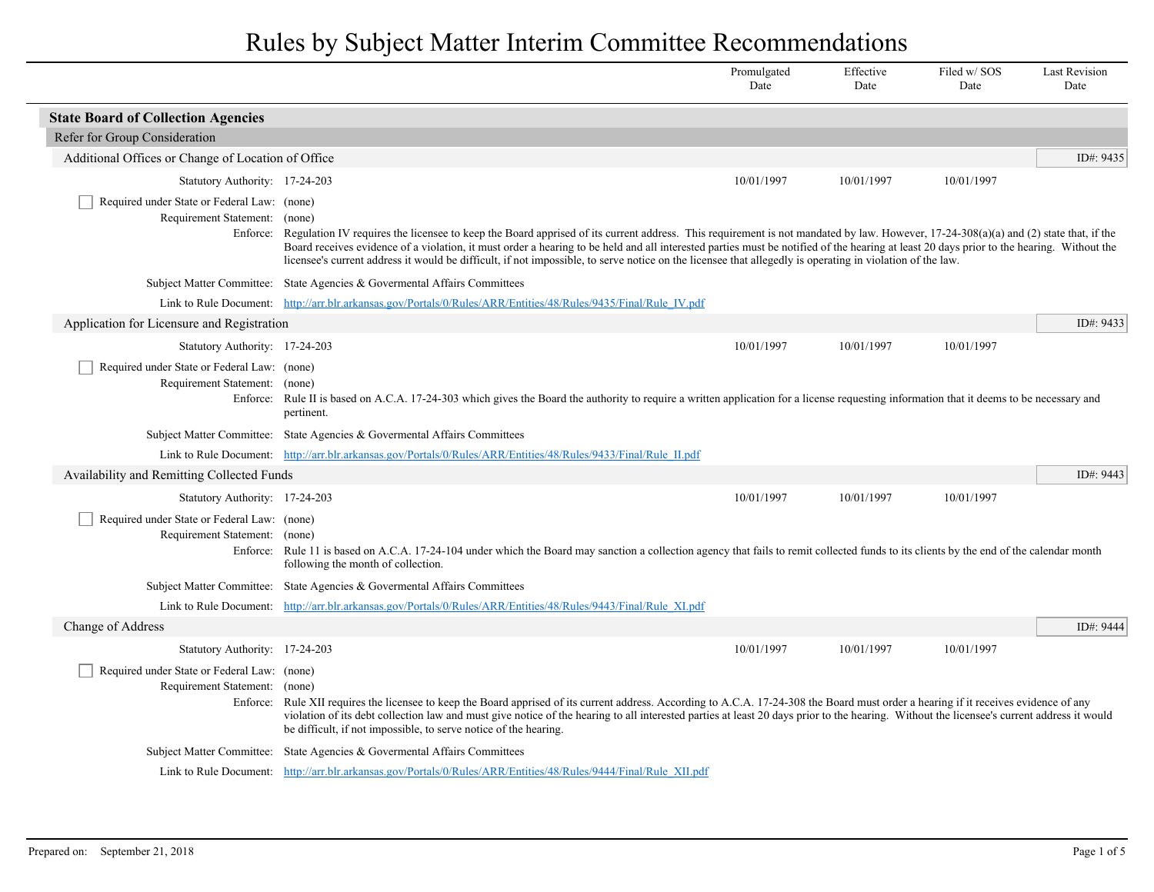|                                                                              |                                                                                                                                                                                                                                                                                                                                                                                                                                                                                                                                                       | Promulgated<br>Date | Effective<br>Date | Filed w/SOS<br>Date | <b>Last Revision</b><br>Date |
|------------------------------------------------------------------------------|-------------------------------------------------------------------------------------------------------------------------------------------------------------------------------------------------------------------------------------------------------------------------------------------------------------------------------------------------------------------------------------------------------------------------------------------------------------------------------------------------------------------------------------------------------|---------------------|-------------------|---------------------|------------------------------|
| <b>State Board of Collection Agencies</b>                                    |                                                                                                                                                                                                                                                                                                                                                                                                                                                                                                                                                       |                     |                   |                     |                              |
| Refer for Group Consideration                                                |                                                                                                                                                                                                                                                                                                                                                                                                                                                                                                                                                       |                     |                   |                     |                              |
| Additional Offices or Change of Location of Office                           |                                                                                                                                                                                                                                                                                                                                                                                                                                                                                                                                                       |                     |                   |                     | ID#: 9435                    |
| Statutory Authority: 17-24-203                                               |                                                                                                                                                                                                                                                                                                                                                                                                                                                                                                                                                       | 10/01/1997          | 10/01/1997        | 10/01/1997          |                              |
| Required under State or Federal Law: (none)<br>Requirement Statement: (none) | Enforce: Regulation IV requires the licensee to keep the Board apprised of its current address. This requirement is not mandated by law. However, 17-24-308(a)(a) and (2) state that, if the<br>Board receives evidence of a violation, it must order a hearing to be held and all interested parties must be notified of the hearing at least 20 days prior to the hearing. Without the<br>licensee's current address it would be difficult, if not impossible, to serve notice on the licensee that allegedly is operating in violation of the law. |                     |                   |                     |                              |
|                                                                              | Subject Matter Committee: State Agencies & Governental Affairs Committees                                                                                                                                                                                                                                                                                                                                                                                                                                                                             |                     |                   |                     |                              |
|                                                                              | Link to Rule Document: http://arr.blr.arkansas.gov/Portals/0/Rules/ARR/Entities/48/Rules/9435/Final/Rule IV.pdf                                                                                                                                                                                                                                                                                                                                                                                                                                       |                     |                   |                     |                              |
| Application for Licensure and Registration                                   |                                                                                                                                                                                                                                                                                                                                                                                                                                                                                                                                                       |                     |                   |                     | ID#: 9433                    |
| Statutory Authority: 17-24-203                                               |                                                                                                                                                                                                                                                                                                                                                                                                                                                                                                                                                       | 10/01/1997          | 10/01/1997        | 10/01/1997          |                              |
| Required under State or Federal Law: (none)<br>Requirement Statement: (none) | Enforce: Rule II is based on A.C.A. 17-24-303 which gives the Board the authority to require a written application for a license requesting information that it deems to be necessary and<br>pertinent.                                                                                                                                                                                                                                                                                                                                               |                     |                   |                     |                              |
|                                                                              | Subject Matter Committee: State Agencies & Governental Affairs Committees                                                                                                                                                                                                                                                                                                                                                                                                                                                                             |                     |                   |                     |                              |
|                                                                              | Link to Rule Document: http://arr.blr.arkansas.gov/Portals/0/Rules/ARR/Entities/48/Rules/9433/Final/Rule II.pdf                                                                                                                                                                                                                                                                                                                                                                                                                                       |                     |                   |                     |                              |
| Availability and Remitting Collected Funds                                   |                                                                                                                                                                                                                                                                                                                                                                                                                                                                                                                                                       |                     |                   |                     | ID#: 9443                    |
| Statutory Authority: 17-24-203                                               |                                                                                                                                                                                                                                                                                                                                                                                                                                                                                                                                                       | 10/01/1997          | 10/01/1997        | 10/01/1997          |                              |
| Required under State or Federal Law: (none)<br>Requirement Statement: (none) | Enforce: Rule 11 is based on A.C.A. 17-24-104 under which the Board may sanction a collection agency that fails to remit collected funds to its clients by the end of the calendar month<br>following the month of collection.                                                                                                                                                                                                                                                                                                                        |                     |                   |                     |                              |
|                                                                              | Subject Matter Committee: State Agencies & Governental Affairs Committees                                                                                                                                                                                                                                                                                                                                                                                                                                                                             |                     |                   |                     |                              |
|                                                                              | Link to Rule Document: http://arr.blr.arkansas.gov/Portals/0/Rules/ARR/Entities/48/Rules/9443/Final/Rule XI.pdf                                                                                                                                                                                                                                                                                                                                                                                                                                       |                     |                   |                     |                              |
| Change of Address                                                            |                                                                                                                                                                                                                                                                                                                                                                                                                                                                                                                                                       |                     |                   |                     | ID#: 9444                    |
| Statutory Authority: 17-24-203                                               |                                                                                                                                                                                                                                                                                                                                                                                                                                                                                                                                                       | 10/01/1997          | 10/01/1997        | 10/01/1997          |                              |
| Required under State or Federal Law: (none)<br>Requirement Statement: (none) | Enforce: Rule XII requires the licensee to keep the Board apprised of its current address. According to A.C.A. 17-24-308 the Board must order a hearing if it receives evidence of any<br>violation of its debt collection law and must give notice of the hearing to all interested parties at least 20 days prior to the hearing. Without the licensee's current address it would<br>be difficult, if not impossible, to serve notice of the hearing.                                                                                               |                     |                   |                     |                              |
|                                                                              | Subject Matter Committee: State Agencies & Governental Affairs Committees                                                                                                                                                                                                                                                                                                                                                                                                                                                                             |                     |                   |                     |                              |
|                                                                              | Link to Rule Document: http://arr.blr.arkansas.gov/Portals/0/Rules/ARR/Entities/48/Rules/9444/Final/Rule XII.pdf                                                                                                                                                                                                                                                                                                                                                                                                                                      |                     |                   |                     |                              |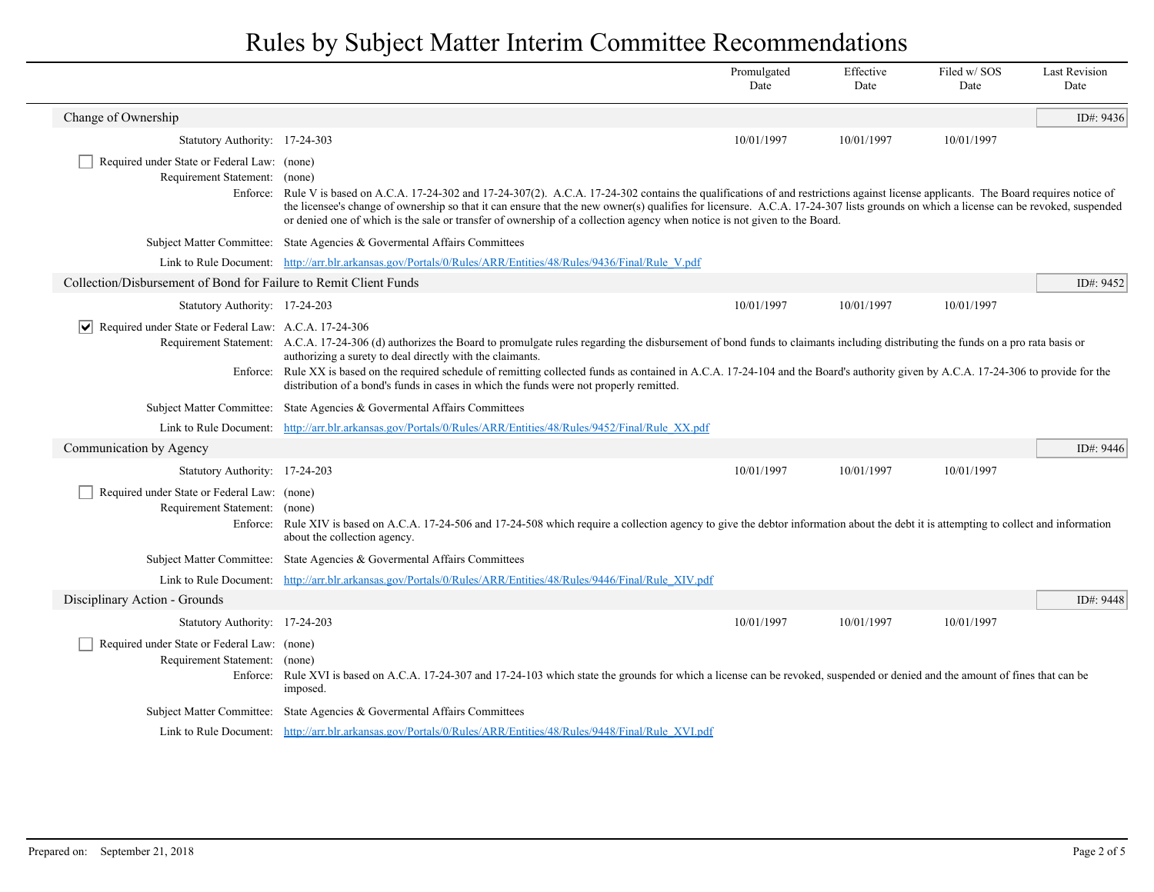|                                                                              |                                                                                                                                                                                                                                                                                                                                                                                                                                                                                                                                                      | Promulgated<br>Date | Effective<br>Date | Filed w/SOS<br>Date | <b>Last Revision</b><br>Date |
|------------------------------------------------------------------------------|------------------------------------------------------------------------------------------------------------------------------------------------------------------------------------------------------------------------------------------------------------------------------------------------------------------------------------------------------------------------------------------------------------------------------------------------------------------------------------------------------------------------------------------------------|---------------------|-------------------|---------------------|------------------------------|
| Change of Ownership                                                          |                                                                                                                                                                                                                                                                                                                                                                                                                                                                                                                                                      |                     |                   |                     | ID#: 9436                    |
| Statutory Authority: 17-24-303                                               |                                                                                                                                                                                                                                                                                                                                                                                                                                                                                                                                                      | 10/01/1997          | 10/01/1997        | 10/01/1997          |                              |
| Required under State or Federal Law: (none)<br>Requirement Statement: (none) | Enforce: Rule V is based on A.C.A. 17-24-302 and 17-24-307(2). A.C.A. 17-24-302 contains the qualifications of and restrictions against license applicants. The Board requires notice of<br>the licensee's change of ownership so that it can ensure that the new owner(s) qualifies for licensure. A.C.A. 17-24-307 lists grounds on which a license can be revoked, suspended<br>or denied one of which is the sale or transfer of ownership of a collection agency when notice is not given to the Board.                                         |                     |                   |                     |                              |
|                                                                              | Subject Matter Committee: State Agencies & Governental Affairs Committees                                                                                                                                                                                                                                                                                                                                                                                                                                                                            |                     |                   |                     |                              |
|                                                                              | Link to Rule Document: http://arr.blr.arkansas.gov/Portals/0/Rules/ARR/Entities/48/Rules/9436/Final/Rule V.pdf                                                                                                                                                                                                                                                                                                                                                                                                                                       |                     |                   |                     |                              |
| Collection/Disbursement of Bond for Failure to Remit Client Funds            |                                                                                                                                                                                                                                                                                                                                                                                                                                                                                                                                                      |                     |                   |                     | ID#: 9452                    |
| Statutory Authority: 17-24-203                                               |                                                                                                                                                                                                                                                                                                                                                                                                                                                                                                                                                      | 10/01/1997          | 10/01/1997        | 10/01/1997          |                              |
| $ \mathbf{v} $ Required under State or Federal Law: A.C.A. 17-24-306         | Requirement Statement: A.C.A. 17-24-306 (d) authorizes the Board to promulgate rules regarding the disbursement of bond funds to claimants including distributing the funds on a pro rata basis or<br>authorizing a surety to deal directly with the claimants.<br>Enforce: Rule XX is based on the required schedule of remitting collected funds as contained in A.C.A. 17-24-104 and the Board's authority given by A.C.A. 17-24-306 to provide for the<br>distribution of a bond's funds in cases in which the funds were not properly remitted. |                     |                   |                     |                              |
|                                                                              | Subject Matter Committee: State Agencies & Governental Affairs Committees                                                                                                                                                                                                                                                                                                                                                                                                                                                                            |                     |                   |                     |                              |
|                                                                              | Link to Rule Document: http://arr.blr.arkansas.gov/Portals/0/Rules/ARR/Entities/48/Rules/9452/Final/Rule XX.pdf                                                                                                                                                                                                                                                                                                                                                                                                                                      |                     |                   |                     |                              |
| Communication by Agency                                                      |                                                                                                                                                                                                                                                                                                                                                                                                                                                                                                                                                      |                     |                   |                     | ID#: 9446                    |
| Statutory Authority: 17-24-203                                               |                                                                                                                                                                                                                                                                                                                                                                                                                                                                                                                                                      | 10/01/1997          | 10/01/1997        | 10/01/1997          |                              |
| Required under State or Federal Law: (none)<br>Requirement Statement: (none) | Enforce: Rule XIV is based on A.C.A. 17-24-506 and 17-24-508 which require a collection agency to give the debtor information about the debt it is attempting to collect and information<br>about the collection agency.                                                                                                                                                                                                                                                                                                                             |                     |                   |                     |                              |
|                                                                              | Subject Matter Committee: State Agencies & Governental Affairs Committees                                                                                                                                                                                                                                                                                                                                                                                                                                                                            |                     |                   |                     |                              |
|                                                                              | Link to Rule Document: http://arr.blr.arkansas.gov/Portals/0/Rules/ARR/Entities/48/Rules/9446/Final/Rule XIV.pdf                                                                                                                                                                                                                                                                                                                                                                                                                                     |                     |                   |                     |                              |
| Disciplinary Action - Grounds                                                |                                                                                                                                                                                                                                                                                                                                                                                                                                                                                                                                                      |                     |                   |                     | ID#: 9448                    |
| Statutory Authority: 17-24-203                                               |                                                                                                                                                                                                                                                                                                                                                                                                                                                                                                                                                      | 10/01/1997          | 10/01/1997        | 10/01/1997          |                              |
| Required under State or Federal Law: (none)<br>Requirement Statement:        | (none)<br>Enforce: Rule XVI is based on A.C.A. 17-24-307 and 17-24-103 which state the grounds for which a license can be revoked, suspended or denied and the amount of fines that can be<br>imposed.                                                                                                                                                                                                                                                                                                                                               |                     |                   |                     |                              |
|                                                                              | Subject Matter Committee: State Agencies & Governental Affairs Committees                                                                                                                                                                                                                                                                                                                                                                                                                                                                            |                     |                   |                     |                              |
|                                                                              | Link to Rule Document: http://arr.blr.arkansas.gov/Portals/0/Rules/ARR/Entities/48/Rules/9448/Final/Rule XVI.pdf                                                                                                                                                                                                                                                                                                                                                                                                                                     |                     |                   |                     |                              |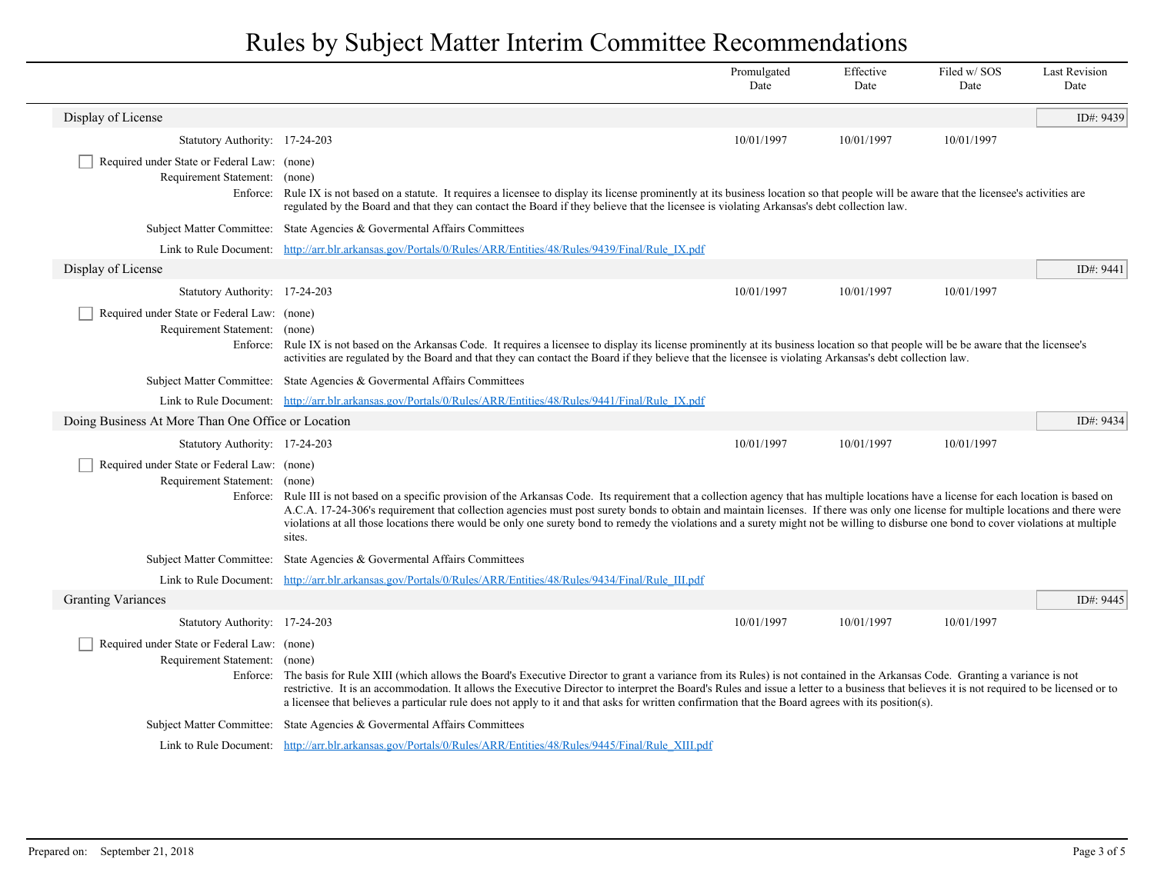|                                                                              |                                                                                                                                                                                                                                                                                                                                                                                                                                                                                                                                                                                          | Promulgated<br>Date | Effective<br>Date | Filed w/SOS<br>Date | <b>Last Revision</b><br>Date |  |
|------------------------------------------------------------------------------|------------------------------------------------------------------------------------------------------------------------------------------------------------------------------------------------------------------------------------------------------------------------------------------------------------------------------------------------------------------------------------------------------------------------------------------------------------------------------------------------------------------------------------------------------------------------------------------|---------------------|-------------------|---------------------|------------------------------|--|
| Display of License                                                           |                                                                                                                                                                                                                                                                                                                                                                                                                                                                                                                                                                                          |                     |                   |                     | ID#: 9439                    |  |
| Statutory Authority: 17-24-203                                               |                                                                                                                                                                                                                                                                                                                                                                                                                                                                                                                                                                                          | 10/01/1997          | 10/01/1997        | 10/01/1997          |                              |  |
| Required under State or Federal Law: (none)<br>Requirement Statement: (none) | Enforce: Rule IX is not based on a statute. It requires a licensee to display its license prominently at its business location so that people will be aware that the licensee's activities are<br>regulated by the Board and that they can contact the Board if they believe that the licensee is violating Arkansas's debt collection law.                                                                                                                                                                                                                                              |                     |                   |                     |                              |  |
|                                                                              | Subject Matter Committee: State Agencies & Governental Affairs Committees                                                                                                                                                                                                                                                                                                                                                                                                                                                                                                                |                     |                   |                     |                              |  |
|                                                                              | Link to Rule Document: http://arr.blr.arkansas.gov/Portals/0/Rules/ARR/Entities/48/Rules/9439/Final/Rule IX.pdf                                                                                                                                                                                                                                                                                                                                                                                                                                                                          |                     |                   |                     |                              |  |
| Display of License                                                           |                                                                                                                                                                                                                                                                                                                                                                                                                                                                                                                                                                                          |                     |                   |                     | ID#: 9441                    |  |
| Statutory Authority: 17-24-203                                               |                                                                                                                                                                                                                                                                                                                                                                                                                                                                                                                                                                                          | 10/01/1997          | 10/01/1997        | 10/01/1997          |                              |  |
| Required under State or Federal Law: (none)<br>Requirement Statement: (none) | Enforce: Rule IX is not based on the Arkansas Code. It requires a licensee to display its license prominently at its business location so that people will be be aware that the licensee's<br>activities are regulated by the Board and that they can contact the Board if they believe that the licensee is violating Arkansas's debt collection law.                                                                                                                                                                                                                                   |                     |                   |                     |                              |  |
|                                                                              | Subject Matter Committee: State Agencies & Governental Affairs Committees                                                                                                                                                                                                                                                                                                                                                                                                                                                                                                                |                     |                   |                     |                              |  |
|                                                                              | Link to Rule Document: http://arr.blr.arkansas.gov/Portals/0/Rules/ARR/Entities/48/Rules/9441/Final/Rule IX.pdf                                                                                                                                                                                                                                                                                                                                                                                                                                                                          |                     |                   |                     |                              |  |
| Doing Business At More Than One Office or Location                           |                                                                                                                                                                                                                                                                                                                                                                                                                                                                                                                                                                                          |                     |                   |                     | ID#: 9434                    |  |
| Statutory Authority: 17-24-203                                               |                                                                                                                                                                                                                                                                                                                                                                                                                                                                                                                                                                                          | 10/01/1997          | 10/01/1997        | 10/01/1997          |                              |  |
| Required under State or Federal Law: (none)<br>Requirement Statement: (none) | Enforce: Rule III is not based on a specific provision of the Arkansas Code. Its requirement that a collection agency that has multiple locations have a license for each location is based on<br>A.C.A. 17-24-306's requirement that collection agencies must post surety bonds to obtain and maintain licenses. If there was only one license for multiple locations and there were<br>violations at all those locations there would be only one surety bond to remedy the violations and a surety might not be willing to disburse one bond to cover violations at multiple<br>sites. |                     |                   |                     |                              |  |
|                                                                              | Subject Matter Committee: State Agencies & Governental Affairs Committees                                                                                                                                                                                                                                                                                                                                                                                                                                                                                                                |                     |                   |                     |                              |  |
|                                                                              | Link to Rule Document: http://arr.blr.arkansas.gov/Portals/0/Rules/ARR/Entities/48/Rules/9434/Final/Rule III.pdf                                                                                                                                                                                                                                                                                                                                                                                                                                                                         |                     |                   |                     |                              |  |
| <b>Granting Variances</b>                                                    |                                                                                                                                                                                                                                                                                                                                                                                                                                                                                                                                                                                          |                     |                   |                     | ID#: 9445                    |  |
| Statutory Authority: 17-24-203                                               |                                                                                                                                                                                                                                                                                                                                                                                                                                                                                                                                                                                          | 10/01/1997          | 10/01/1997        | 10/01/1997          |                              |  |
| Required under State or Federal Law: (none)<br>Requirement Statement:        | (none)<br>Enforce: The basis for Rule XIII (which allows the Board's Executive Director to grant a variance from its Rules) is not contained in the Arkansas Code. Granting a variance is not<br>restrictive. It is an accommodation. It allows the Executive Director to interpret the Board's Rules and issue a letter to a business that believes it is not required to be licensed or to<br>a licensee that believes a particular rule does not apply to it and that asks for written confirmation that the Board agrees with its position(s).                                       |                     |                   |                     |                              |  |
|                                                                              | Subject Matter Committee: State Agencies & Governental Affairs Committees                                                                                                                                                                                                                                                                                                                                                                                                                                                                                                                |                     |                   |                     |                              |  |
|                                                                              | Link to Rule Document: http://arr.blr.arkansas.gov/Portals/0/Rules/ARR/Entities/48/Rules/9445/Final/Rule XIII.pdf                                                                                                                                                                                                                                                                                                                                                                                                                                                                        |                     |                   |                     |                              |  |

 $\overline{\phantom{a}}$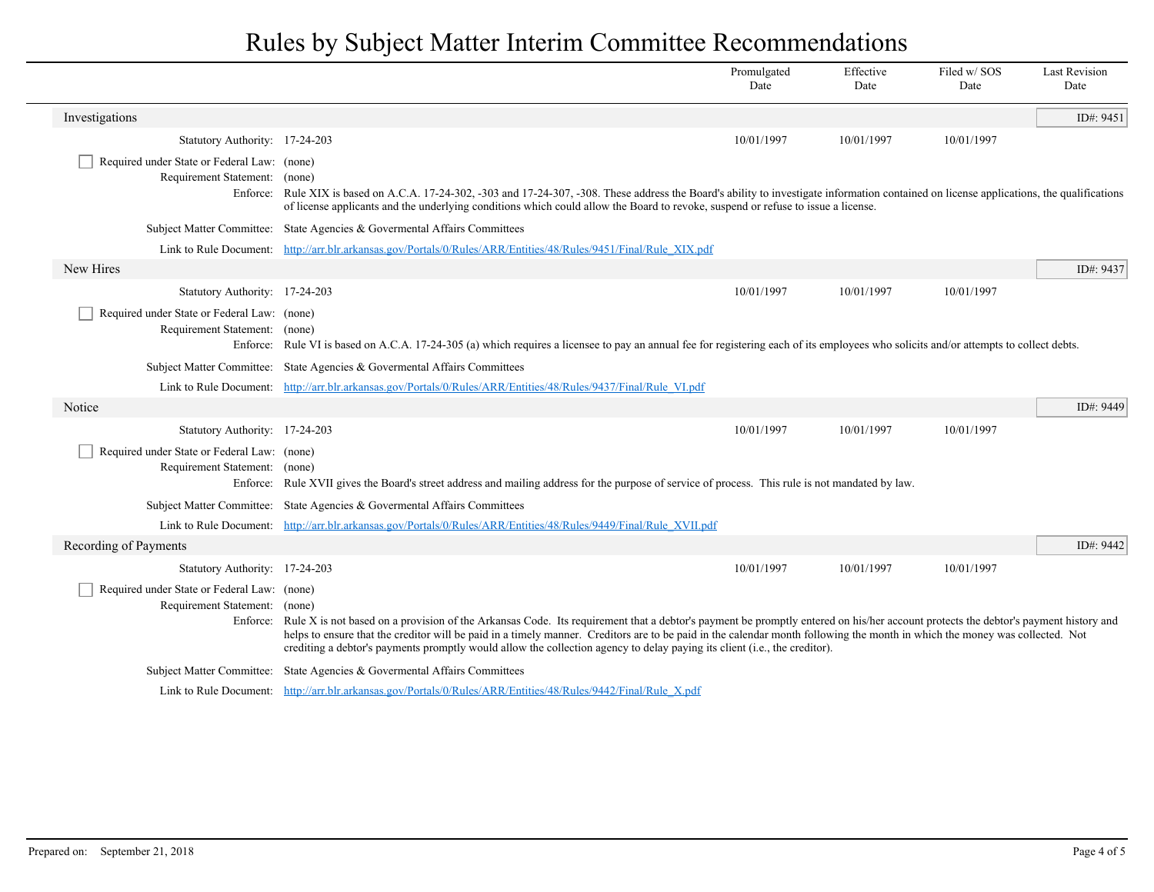|                                                                              |                                                                                                                                                                                                                                                                                                                                                                                                                                                                                                        | Promulgated<br>Date | Effective<br>Date | Filed w/SOS<br>Date | <b>Last Revision</b><br>Date |
|------------------------------------------------------------------------------|--------------------------------------------------------------------------------------------------------------------------------------------------------------------------------------------------------------------------------------------------------------------------------------------------------------------------------------------------------------------------------------------------------------------------------------------------------------------------------------------------------|---------------------|-------------------|---------------------|------------------------------|
| Investigations                                                               |                                                                                                                                                                                                                                                                                                                                                                                                                                                                                                        |                     |                   |                     | ID#: 9451                    |
| Statutory Authority: 17-24-203                                               |                                                                                                                                                                                                                                                                                                                                                                                                                                                                                                        | 10/01/1997          | 10/01/1997        | 10/01/1997          |                              |
| Required under State or Federal Law: (none)<br>Requirement Statement: (none) | Enforce: Rule XIX is based on A.C.A. 17-24-302, -303 and 17-24-307, -308. These address the Board's ability to investigate information contained on license applications, the qualifications<br>of license applicants and the underlying conditions which could allow the Board to revoke, suspend or refuse to issue a license.                                                                                                                                                                       |                     |                   |                     |                              |
|                                                                              | Subject Matter Committee: State Agencies & Governental Affairs Committees                                                                                                                                                                                                                                                                                                                                                                                                                              |                     |                   |                     |                              |
|                                                                              | Link to Rule Document: http://arr.blr.arkansas.gov/Portals/0/Rules/ARR/Entities/48/Rules/9451/Final/Rule XIX.pdf                                                                                                                                                                                                                                                                                                                                                                                       |                     |                   |                     |                              |
| New Hires                                                                    |                                                                                                                                                                                                                                                                                                                                                                                                                                                                                                        |                     |                   |                     | ID#: 9437                    |
| Statutory Authority: 17-24-203                                               |                                                                                                                                                                                                                                                                                                                                                                                                                                                                                                        | 10/01/1997          | 10/01/1997        | 10/01/1997          |                              |
| Required under State or Federal Law: (none)<br>Requirement Statement: (none) | Enforce: Rule VI is based on A.C.A. 17-24-305 (a) which requires a licensee to pay an annual fee for registering each of its employees who solicits and/or attempts to collect debts.                                                                                                                                                                                                                                                                                                                  |                     |                   |                     |                              |
|                                                                              | Subject Matter Committee: State Agencies & Governental Affairs Committees                                                                                                                                                                                                                                                                                                                                                                                                                              |                     |                   |                     |                              |
|                                                                              | Link to Rule Document: http://arr.blr.arkansas.gov/Portals/0/Rules/ARR/Entities/48/Rules/9437/Final/Rule VI.pdf                                                                                                                                                                                                                                                                                                                                                                                        |                     |                   |                     |                              |
| Notice                                                                       |                                                                                                                                                                                                                                                                                                                                                                                                                                                                                                        |                     |                   |                     | ID#: $9449$                  |
| Statutory Authority: 17-24-203                                               |                                                                                                                                                                                                                                                                                                                                                                                                                                                                                                        | 10/01/1997          | 10/01/1997        | 10/01/1997          |                              |
| Required under State or Federal Law: (none)<br>Requirement Statement: (none) | Enforce: Rule XVII gives the Board's street address and mailing address for the purpose of service of process. This rule is not mandated by law.                                                                                                                                                                                                                                                                                                                                                       |                     |                   |                     |                              |
|                                                                              | Subject Matter Committee: State Agencies & Governental Affairs Committees                                                                                                                                                                                                                                                                                                                                                                                                                              |                     |                   |                     |                              |
|                                                                              | Link to Rule Document: http://arr.blr.arkansas.gov/Portals/0/Rules/ARR/Entities/48/Rules/9449/Final/Rule XVII.pdf                                                                                                                                                                                                                                                                                                                                                                                      |                     |                   |                     |                              |
| Recording of Payments                                                        |                                                                                                                                                                                                                                                                                                                                                                                                                                                                                                        |                     |                   |                     | ID#: 9442                    |
| Statutory Authority: 17-24-203                                               |                                                                                                                                                                                                                                                                                                                                                                                                                                                                                                        | 10/01/1997          | 10/01/1997        | 10/01/1997          |                              |
| Required under State or Federal Law: (none)<br>Requirement Statement: (none) | Enforce: Rule X is not based on a provision of the Arkansas Code. Its requirement that a debtor's payment be promptly entered on his/her account protects the debtor's payment history and<br>helps to ensure that the creditor will be paid in a timely manner. Creditors are to be paid in the calendar month following the month in which the money was collected. Not<br>crediting a debtor's payments promptly would allow the collection agency to delay paying its client (i.e., the creditor). |                     |                   |                     |                              |
|                                                                              | Subject Matter Committee: State Agencies & Governental Affairs Committees                                                                                                                                                                                                                                                                                                                                                                                                                              |                     |                   |                     |                              |
|                                                                              | Link to Rule Document: http://arr.blr.arkansas.gov/Portals/0/Rules/ARR/Entities/48/Rules/9442/Final/Rule X.pdf                                                                                                                                                                                                                                                                                                                                                                                         |                     |                   |                     |                              |